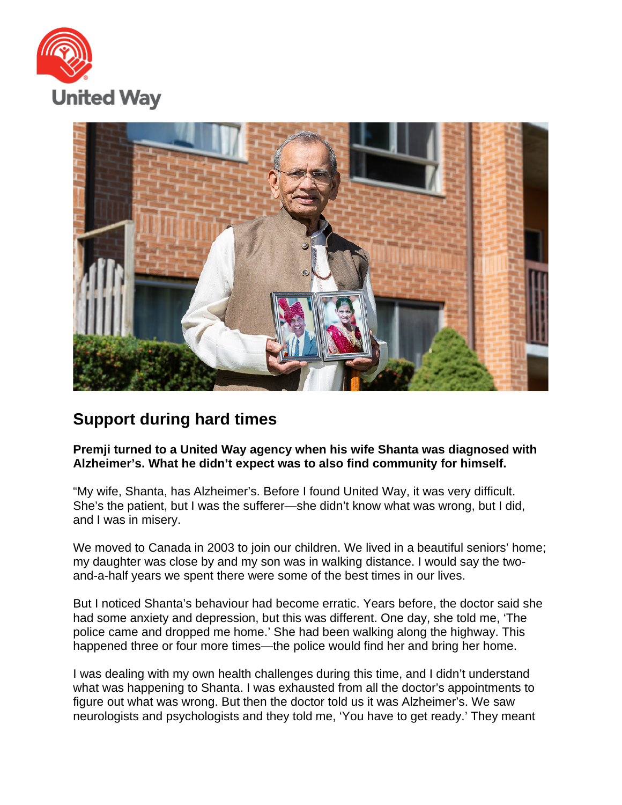



## **Support during hard times**

**Premji turned to a United Way agency when his wife Shanta was diagnosed with Alzheimer's. What he didn't expect was to also find community for himself.**

"My wife, Shanta, has Alzheimer's. Before I found United Way, it was very difficult. She's the patient, but I was the sufferer—she didn't know what was wrong, but I did, and I was in misery.

We moved to Canada in 2003 to join our children. We lived in a beautiful seniors' home; my daughter was close by and my son was in walking distance. I would say the twoand-a-half years we spent there were some of the best times in our lives.

But I noticed Shanta's behaviour had become erratic. Years before, the doctor said she had some anxiety and depression, but this was different. One day, she told me, 'The police came and dropped me home.' She had been walking along the highway. This happened three or four more times—the police would find her and bring her home.

I was dealing with my own health challenges during this time, and I didn't understand what was happening to Shanta. I was exhausted from all the doctor's appointments to figure out what was wrong. But then the doctor told us it was Alzheimer's. We saw neurologists and psychologists and they told me, 'You have to get ready.' They meant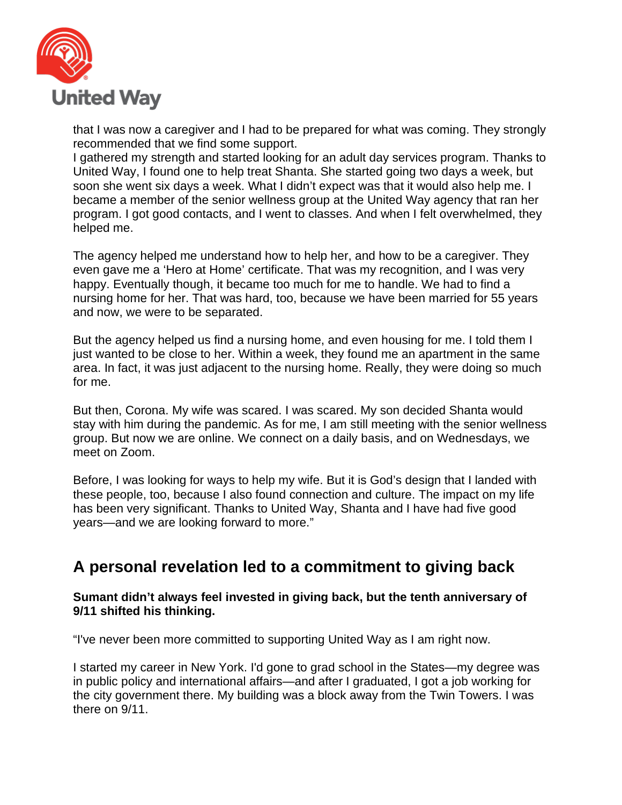

that I was now a caregiver and I had to be prepared for what was coming. They strongly recommended that we find some support.

I gathered my strength and started looking for an adult day services program. Thanks to United Way, I found one to help treat Shanta. She started going two days a week, but soon she went six days a week. What I didn't expect was that it would also help me. I became a member of the senior wellness group at the United Way agency that ran her program. I got good contacts, and I went to classes. And when I felt overwhelmed, they helped me.

The agency helped me understand how to help her, and how to be a caregiver. They even gave me a 'Hero at Home' certificate. That was my recognition, and I was very happy. Eventually though, it became too much for me to handle. We had to find a nursing home for her. That was hard, too, because we have been married for 55 years and now, we were to be separated.

But the agency helped us find a nursing home, and even housing for me. I told them I just wanted to be close to her. Within a week, they found me an apartment in the same area. In fact, it was just adjacent to the nursing home. Really, they were doing so much for me.

But then, Corona. My wife was scared. I was scared. My son decided Shanta would stay with him during the pandemic. As for me, I am still meeting with the senior wellness group. But now we are online. We connect on a daily basis, and on Wednesdays, we meet on Zoom.

Before, I was looking for ways to help my wife. But it is God's design that I landed with these people, too, because I also found connection and culture. The impact on my life has been very significant. Thanks to United Way, Shanta and I have had five good years—and we are looking forward to more."

## **A personal revelation led to a commitment to giving back**

## **Sumant didn't always feel invested in giving back, but the tenth anniversary of 9/11 shifted his thinking.**

"I've never been more committed to supporting United Way as I am right now.

I started my career in New York. I'd gone to grad school in the States—my degree was in public policy and international affairs—and after I graduated, I got a job working for the city government there. My building was a block away from the Twin Towers. I was there on 9/11.